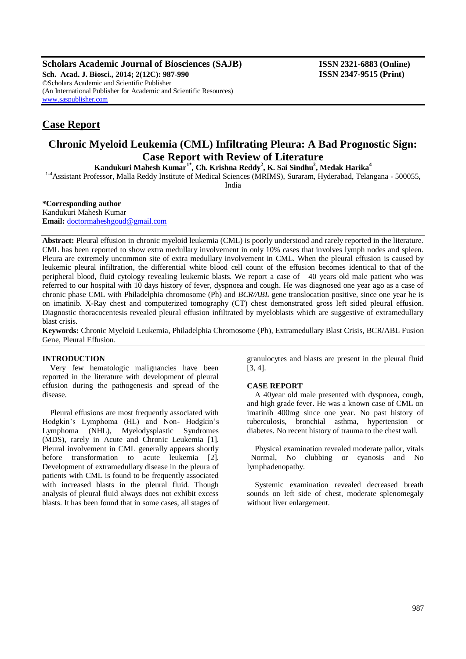**Scholars Academic Journal of Biosciences (SAJB) ISSN 2321-6883 (Online) Sch. Acad. J. Biosci., 2014; 2(12C): 987-990 ISSN 2347-9515 (Print)** ©Scholars Academic and Scientific Publisher (An International Publisher for Academic and Scientific Resources) [www.saspublisher.com](http://www.saspublisher.com/)

# **Case Report**

# **Chronic Myeloid Leukemia (CML) Infiltrating Pleura: A Bad Prognostic Sign: Case Report with Review of Literature**

**Kandukuri Mahesh Kumar1\* , Ch. Krishna Reddy<sup>2</sup> , K. Sai Sindhu<sup>2</sup> , Medak Harika<sup>4</sup>**

<sup>1-4</sup>Assistant Professor, Malla Reddy Institute of Medical Sciences (MRIMS), Suraram, Hyderabad, Telangana - 500055,

India

### **\*Corresponding author**

Kandukuri Mahesh Kumar **Email:** [doctormaheshgoud@gmail.com](mailto:doctormaheshgoud@gmail.com)

**Abstract:** Pleural effusion in chronic myeloid leukemia (CML) is poorly understood and rarely reported in the literature. CML has been reported to show extra medullary involvement in only 10% cases that involves lymph nodes and spleen. Pleura are extremely uncommon site of extra medullary involvement in CML. When the pleural effusion is caused by leukemic pleural infiltration, the differential white blood cell count of the effusion becomes identical to that of the peripheral blood, fluid cytology revealing leukemic blasts. We report a case of 40 years old male patient who was referred to our hospital with 10 days history of fever, dyspnoea and cough. He was diagnosed one year ago as a case of chronic phase CML with Philadelphia chromosome (Ph) and *BCR/ABL* gene translocation positive, since one year he is on imatinib. X-Ray chest and computerized tomography (CT) chest demonstrated gross left sided pleural effusion. Diagnostic thoracocentesis revealed pleural effusion infiltrated by myeloblasts which are suggestive of extramedullary blast crisis.

**Keywords:** Chronic Myeloid Leukemia, Philadelphia Chromosome (Ph), Extramedullary Blast Crisis, BCR/ABL Fusion Gene, Pleural Effusion.

### **INTRODUCTION**

Very few hematologic malignancies have been reported in the literature with development of pleural effusion during the pathogenesis and spread of the disease.

Pleural effusions are most frequently associated with Hodgkin's Lymphoma (HL) and Non- Hodgkin's Lymphoma (NHL), Myelodysplastic Syndromes (MDS), rarely in Acute and Chronic Leukemia [1]. Pleural involvement in CML generally appears shortly before transformation to acute leukemia [2]. Development of extramedullary disease in the pleura of patients with CML is found to be frequently associated with increased blasts in the pleural fluid. Though analysis of pleural fluid always does not exhibit excess blasts. It has been found that in some cases, all stages of granulocytes and blasts are present in the pleural fluid [3, 4].

### **CASE REPORT**

A 40year old male presented with dyspnoea, cough, and high grade fever. He was a known case of CML on imatinib 400mg since one year. No past history of tuberculosis, bronchial asthma, hypertension or diabetes. No recent history of trauma to the chest wall.

Physical examination revealed moderate pallor, vitals –Normal, No clubbing or cyanosis and No lymphadenopathy.

Systemic examination revealed decreased breath sounds on left side of chest, moderate splenomegaly without liver enlargement.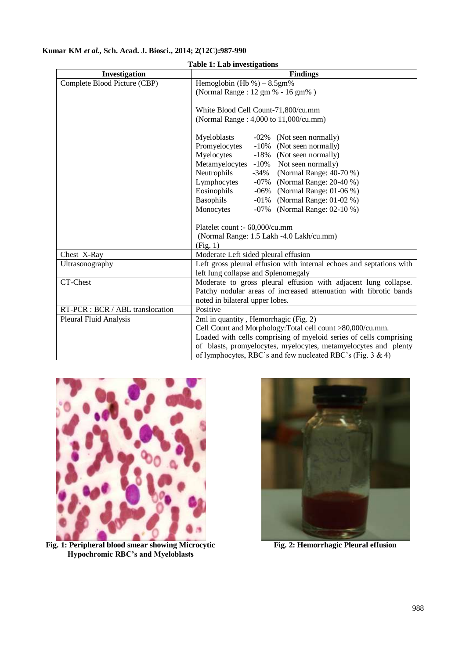| <b>Table 1: Lab investigations</b> |                                                                                                                                                                                                                                                                                                                                                                                                                                                     |
|------------------------------------|-----------------------------------------------------------------------------------------------------------------------------------------------------------------------------------------------------------------------------------------------------------------------------------------------------------------------------------------------------------------------------------------------------------------------------------------------------|
| Investigation                      | <b>Findings</b>                                                                                                                                                                                                                                                                                                                                                                                                                                     |
| Complete Blood Picture (CBP)       | Hemoglobin (Hb %) $-8.5$ gm%<br>(Normal Range: 12 gm % - 16 gm%)                                                                                                                                                                                                                                                                                                                                                                                    |
|                                    | White Blood Cell Count-71,800/cu.mm<br>(Normal Range: 4,000 to 11,000/cu.mm)                                                                                                                                                                                                                                                                                                                                                                        |
|                                    | Myeloblasts<br>-02% (Not seen normally)<br>Promyelocytes<br>$-10%$<br>(Not seen normally)<br>Myelocytes<br>$-18%$<br>(Not seen normally)<br>Metamyelocytes<br>$-10%$<br>Not seen normally)<br>Neutrophils<br>(Normal Range: 40-70 %)<br>-34%<br>Lymphocytes<br>(Normal Range: 20-40 %)<br>$-07\%$<br>Eosinophils<br>(Normal Range: 01-06 %)<br>-06%<br>Basophils<br>(Normal Range: 01-02 %)<br>$-01\%$<br>Monocytes<br>-07% (Normal Range: 02-10 %) |
|                                    | Platelet count :- 60,000/cu.mm<br>(Normal Range: 1.5 Lakh -4.0 Lakh/cu.mm)<br>(Fig. 1)                                                                                                                                                                                                                                                                                                                                                              |
| Chest X-Ray                        | Moderate Left sided pleural effusion                                                                                                                                                                                                                                                                                                                                                                                                                |
| Ultrasonography                    | Left gross pleural effusion with internal echoes and septations with<br>left lung collapse and Splenomegaly                                                                                                                                                                                                                                                                                                                                         |
| CT-Chest                           | Moderate to gross pleural effusion with adjacent lung collapse.<br>Patchy nodular areas of increased attenuation with fibrotic bands<br>noted in bilateral upper lobes.                                                                                                                                                                                                                                                                             |
| RT-PCR : BCR / ABL translocation   | Positive                                                                                                                                                                                                                                                                                                                                                                                                                                            |
| Pleural Fluid Analysis             | 2ml in quantity, Hemorrhagic (Fig. 2)<br>Cell Count and Morphology: Total cell count >80,000/cu.mm.<br>Loaded with cells comprising of myeloid series of cells comprising<br>of blasts, promyelocytes, myelocytes, metamyelocytes and plenty<br>of lymphocytes, RBC's and few nucleated RBC's (Fig. $3 \& 4$ )                                                                                                                                      |

## **Kumar KM** *et al.,* **Sch. Acad. J. Biosci., 2014; 2(12C):987-990**



**Fig. 1: Peripheral blood smear showing Microcytic Hypochromic RBC's and Myeloblasts**



**Fig. 2: Hemorrhagic Pleural effusion**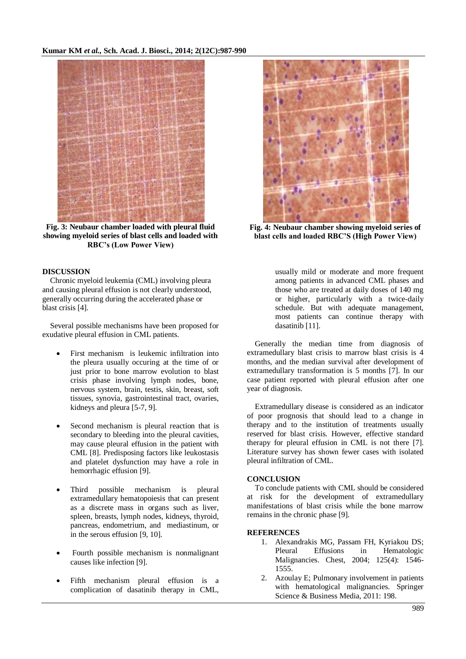

**Fig. 3: Neubaur chamber loaded with pleural fluid showing myeloid series of blast cells and loaded with RBC's (Low Power View)**

### **DISCUSSION**

Chronic myeloid leukemia (CML) involving pleura and causing pleural effusion is not clearly understood, generally occurring during the accelerated phase or blast crisis [4].

Several possible mechanisms have been proposed for exudative pleural effusion in CML patients.

- First mechanism is leukemic infiltration into the pleura usually occuring at the time of or just prior to bone marrow evolution to blast crisis phase involving lymph nodes, bone, nervous system, brain, testis, skin, breast, soft tissues, synovia, gastrointestinal tract, ovaries, kidneys and pleura [5-7, 9].
- Second mechanism is pleural reaction that is secondary to bleeding into the pleural cavities, may cause pleural effusion in the patient with CML [8]. Predisposing factors like leukostasis and platelet dysfunction may have a role in hemorrhagic effusion [9].
- Third possible mechanism is pleural extramedullary hematopoiesis that can present as a discrete mass in organs such as liver, spleen, breasts, lymph nodes, kidneys, thyroid, pancreas, endometrium, and mediastinum, or in the serous effusion [9, 10].
- Fourth possible mechanism is nonmalignant causes like infection [9].
- Fifth mechanism pleural effusion is a complication of dasatinib therapy in CML,



**Fig. 4: Neubaur chamber showing myeloid series of blast cells and loaded RBC'S (High Power View)**

usually mild or moderate and more frequent among patients in advanced CML phases and those who are treated at daily doses of 140 mg or higher, particularly with a twice-daily schedule. But with adequate management, most patients can continue therapy with dasatinib [11].

Generally the median time from diagnosis of extramedullary blast crisis to marrow blast crisis is 4 months, and the median survival after development of extramedullary transformation is 5 months [7]. In our case patient reported with pleural effusion after one year of diagnosis.

Extramedullary disease is considered as an indicator of poor prognosis that should lead to a change in therapy and to the institution of treatments usually reserved for blast crisis. However, effective standard therapy for pleural effusion in CML is not there [7]. Literature survey has shown fewer cases with isolated pleural infiltration of CML.

### **CONCLUSION**

To conclude patients with CML should be considered at risk for the development of extramedullary manifestations of blast crisis while the bone marrow remains in the chronic phase [9].

### **REFERENCES**

- 1. Alexandrakis MG, Passam FH, Kyriakou DS; Pleural Effusions in Hematologic Malignancies. Chest, 2004; 125(4): 1546- 1555.
- 2. Azoulay E; Pulmonary involvement in patients with hematological malignancies. Springer Science & Business Media, 2011: 198.